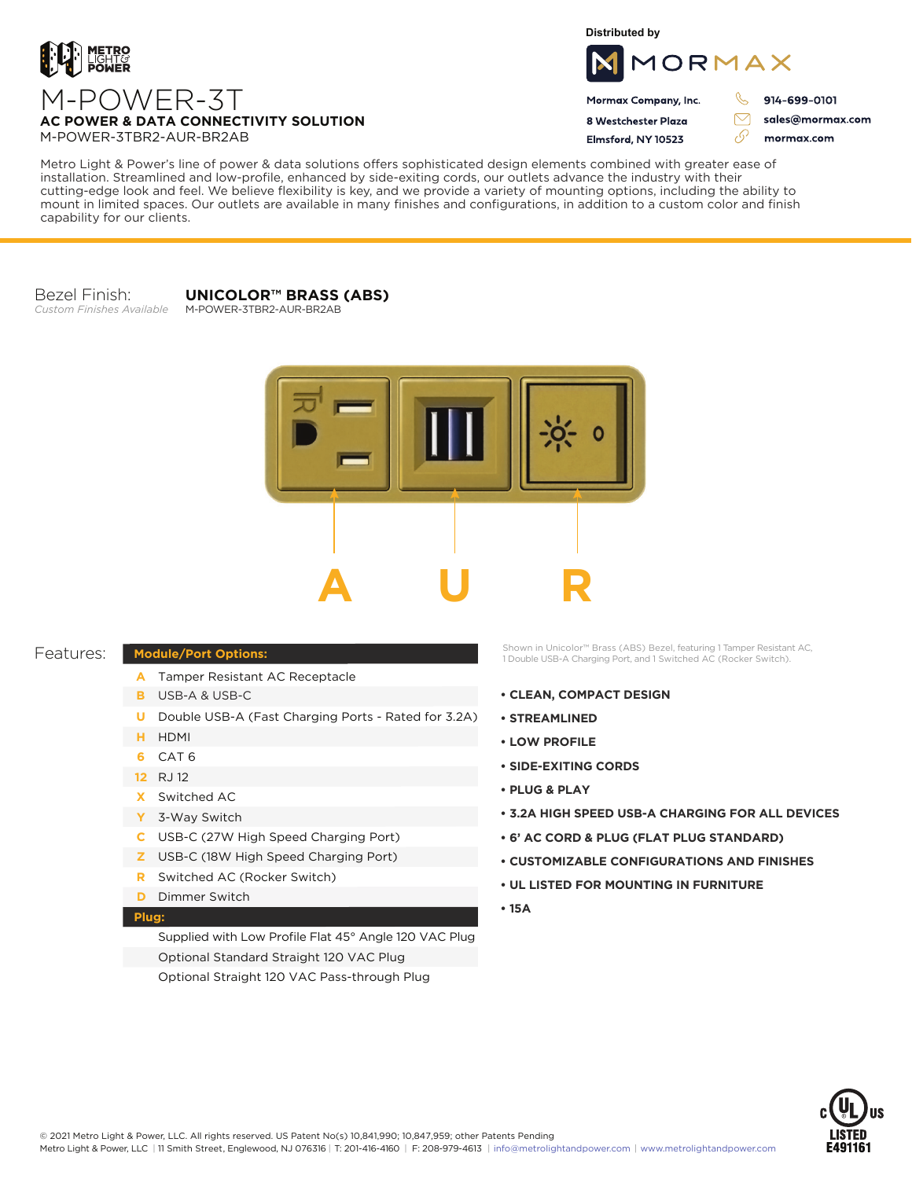

**Distributed by**



Mormax Company, Inc. 8 Westchester Plaza

Flmsford, NY 10523

914-699-0101

ק

 $\triangledown$ 

76

sales@mormax.com mormax.com

**AC POWER & DATA CONNECTIVITY SOLUTION** M-POWER-3TBR2-AUR-BR2AB

M-POWER-3T

Metro Light & Power's line of power & data solutions offers sophisticated design elements combined with greater ease of installation. Streamlined and low-profile, enhanced by side-exiting cords, our outlets advance the industry with their cutting-edge look and feel. We believe flexibility is key, and we provide a variety of mounting options, including the ability to mount in limited spaces. Our outlets are available in many finishes and configurations, in addition to a custom color and finish capability for our clients.

Bezel Finish: *Custom Finishes Available* **UNICOLOR™ BRASS (ABS)**

M-POWER-3TBR2-AUR-BR2AB



## Features:

- **Module/Port Options:**
	- A Tamper Resistant AC Receptacle
	- USB-A & USB-C **B**
	- U Double USB-A (Fast Charging Ports Rated for 3.2A)
	- HDMI **H**
	- CAT 6 **6**
	- 12 RJ 12
	- Switched AC **X**
	- 3-Way Switch **Y**
	- USB-C (27W High Speed Charging Port) **C**
	- USB-C (18W High Speed Charging Port) **Z**
	- Switched AC (Rocker Switch) **R**
	- **D** Dimmer Switch

## **Plug:**

Supplied with Low Profile Flat 45° Angle 120 VAC Plug Optional Standard Straight 120 VAC Plug Optional Straight 120 VAC Pass-through Plug

Shown in Unicolor™ Brass (ABS) Bezel, featuring 1 Tamper Resistant AC, 1 Double USB-A Charging Port, and 1 Switched AC (Rocker Switch).

- **CLEAN, COMPACT DESIGN**
- **STREAMLINED**
- **LOW PROFILE**
- **SIDE-EXITING CORDS**
- **PLUG & PLAY**
- **3.2A HIGH SPEED USB-A CHARGING FOR ALL DEVICES**
- **6' AC CORD & PLUG (FLAT PLUG STANDARD)**
- **CUSTOMIZABLE CONFIGURATIONS AND FINISHES**
- **UL LISTED FOR MOUNTING IN FURNITURE**
- **15A**